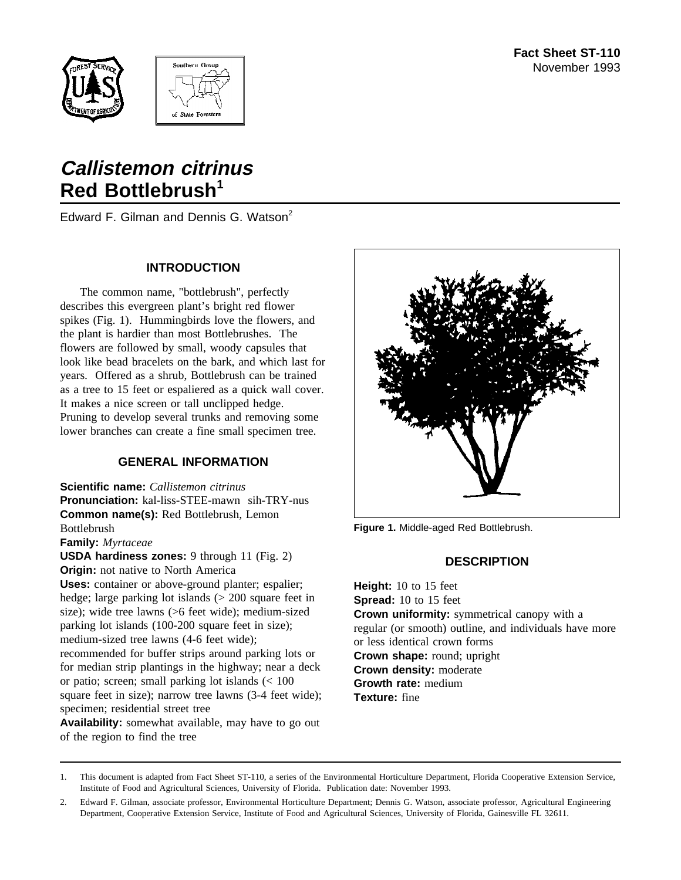



# **Callistemon citrinus Red Bottlebrush<sup>1</sup>**

Edward F. Gilman and Dennis G. Watson<sup>2</sup>

### **INTRODUCTION**

The common name, "bottlebrush", perfectly describes this evergreen plant's bright red flower spikes (Fig. 1). Hummingbirds love the flowers, and the plant is hardier than most Bottlebrushes. The flowers are followed by small, woody capsules that look like bead bracelets on the bark, and which last for years. Offered as a shrub, Bottlebrush can be trained as a tree to 15 feet or espaliered as a quick wall cover. It makes a nice screen or tall unclipped hedge. Pruning to develop several trunks and removing some lower branches can create a fine small specimen tree.

### **GENERAL INFORMATION**

**Scientific name:** *Callistemon citrinus* **Pronunciation:** kal-liss-STEE-mawn sih-TRY-nus **Common name(s):** Red Bottlebrush, Lemon Bottlebrush **Family:** *Myrtaceae* **USDA hardiness zones:** 9 through 11 (Fig. 2)

**Origin:** not native to North America **Uses:** container or above-ground planter; espalier; hedge; large parking lot islands (> 200 square feet in size); wide tree lawns (>6 feet wide); medium-sized parking lot islands (100-200 square feet in size); medium-sized tree lawns (4-6 feet wide); recommended for buffer strips around parking lots or for median strip plantings in the highway; near a deck or patio; screen; small parking lot islands (< 100 square feet in size); narrow tree lawns (3-4 feet wide); specimen; residential street tree

**Availability:** somewhat available, may have to go out of the region to find the tree



**Figure 1.** Middle-aged Red Bottlebrush.

### **DESCRIPTION**

**Height:** 10 to 15 feet **Spread:** 10 to 15 feet **Crown uniformity:** symmetrical canopy with a regular (or smooth) outline, and individuals have more or less identical crown forms **Crown shape:** round; upright **Crown density:** moderate **Growth rate:** medium **Texture:** fine

<sup>1.</sup> This document is adapted from Fact Sheet ST-110, a series of the Environmental Horticulture Department, Florida Cooperative Extension Service, Institute of Food and Agricultural Sciences, University of Florida. Publication date: November 1993.

<sup>2.</sup> Edward F. Gilman, associate professor, Environmental Horticulture Department; Dennis G. Watson, associate professor, Agricultural Engineering Department, Cooperative Extension Service, Institute of Food and Agricultural Sciences, University of Florida, Gainesville FL 32611.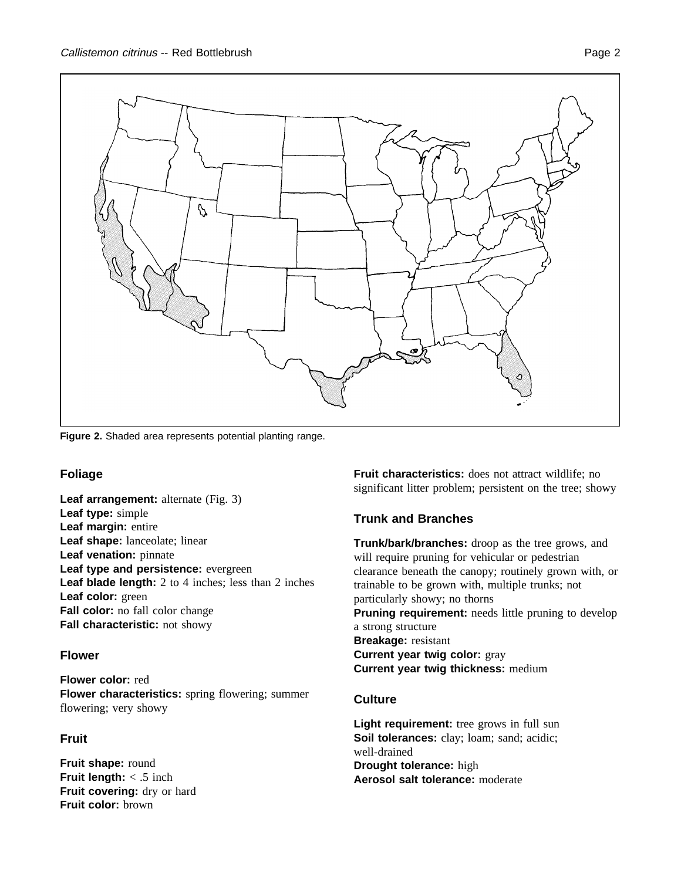

**Figure 2.** Shaded area represents potential planting range.

### **Foliage**

**Leaf arrangement:** alternate (Fig. 3) **Leaf type:** simple **Leaf margin:** entire **Leaf shape:** lanceolate; linear **Leaf venation:** pinnate **Leaf type and persistence:** evergreen **Leaf blade length:** 2 to 4 inches; less than 2 inches **Leaf color:** green **Fall color:** no fall color change **Fall characteristic:** not showy

### **Flower**

**Flower color:** red **Flower characteristics:** spring flowering; summer flowering; very showy

# **Fruit**

**Fruit shape:** round **Fruit length:** < .5 inch **Fruit covering:** dry or hard **Fruit color:** brown

**Fruit characteristics:** does not attract wildlife; no significant litter problem; persistent on the tree; showy

## **Trunk and Branches**

**Trunk/bark/branches:** droop as the tree grows, and will require pruning for vehicular or pedestrian clearance beneath the canopy; routinely grown with, or trainable to be grown with, multiple trunks; not particularly showy; no thorns **Pruning requirement:** needs little pruning to develop a strong structure **Breakage:** resistant **Current year twig color:** gray **Current year twig thickness:** medium

### **Culture**

**Light requirement:** tree grows in full sun **Soil tolerances:** clay; loam; sand; acidic; well-drained **Drought tolerance:** high **Aerosol salt tolerance:** moderate